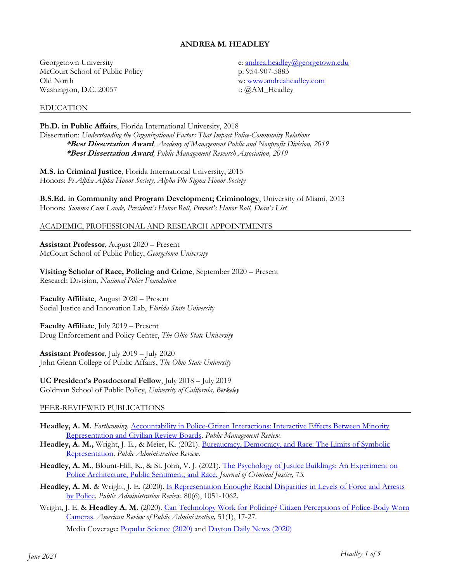# **ANDREA M. HEADLEY**

Georgetown University McCourt School of Public Policy Old North Washington, D.C. 20057

#### EDUCATION

e[: andrea.headley@georgetown.edu](mailto:andrea.headley@georgetown.edu) p: 954-907-5883 w: [www.andreaheadley.com](http://www.andreaheadley.com/) t: @AM\_Headley

**Ph.D. in Public Affairs**, Florida International University, 2018 Dissertation: *Understanding the Organizational Factors That Impact Police-Community Relations* **\*Best Dissertation Award***, Academy of Management Public and Nonprofit Division, 2019* **\*Best Dissertation Award***, Public Management Research Association, 2019*

**M.S. in Criminal Justice**, Florida International University, 2015 Honors: *Pi Alpha Alpha Honor Society, Alpha Phi Sigma Honor Society* 

**B.S.Ed. in Community and Program Development; Criminology**, University of Miami, 2013 Honors: *Summa Cum Laude, President's Honor Roll, Provost's Honor Roll, Dean's List*

### ACADEMIC, PROFESSIONAL AND RESEARCH APPOINTMENTS

**Assistant Professor**, August 2020 – Present McCourt School of Public Policy, *Georgetown University*

**Visiting Scholar of Race, Policing and Crime**, September 2020 – Present Research Division, *National Police Foundation* 

**Faculty Affiliate**, August 2020 – Present Social Justice and Innovation Lab, *Florida State University*

**Faculty Affiliate**, July 2019 – Present Drug Enforcement and Policy Center, *The Ohio State University*

**Assistant Professor**, July 2019 – July 2020 John Glenn College of Public Affairs, *The Ohio State University*

**UC President's Postdoctoral Fellow**, July 2018 – July 2019 Goldman School of Public Policy, *University of California, Berkeley* 

## PEER-REVIEWED PUBLICATIONS

- **Headley, A. M.** *Forthcoming.* [Accountability in Police-Citizen Interactions: Interactive Effects Between Minority](https://dx.doi.org/10.1080/14719037.2021.1916066)  [Representation and Civilian Review Boards.](https://dx.doi.org/10.1080/14719037.2021.1916066) *Public Management Review.*
- Headley, A. M., Wright, J. E., & Meier, K. (2021). Bureaucracy, Democracy, and Race: The Limits of Symbolic [Representation.](https://onlinelibrary.wiley.com/doi/10.1111/puar.13358) *Public Administration Review.*
- **Headley, A. M.**, Blount-Hill, K., & St. John, V. J. (2021)[. The Psychology of Justice Buildings: An Experiment on](https://doi.org/10.1016/j.jcrimjus.2020.101747)  [Police Architecture, Public Sentiment, and Race.](https://doi.org/10.1016/j.jcrimjus.2020.101747) *Journal of Criminal Justice,* 73*.*
- **Headley, A. M.** & Wright, J. E. (2020). [Is Representation Enough? Racial Disparities in Levels of Force and Arrests](https://onlinelibrary.wiley.com/doi/abs/10.1111/puar.13225)  [by Police.](https://onlinelibrary.wiley.com/doi/abs/10.1111/puar.13225) *Public Administration Review,* 80(6), 1051-1062*.*
- Wright, J. E. & **Headley A. M.** (2020). Can Technology Work for Policing? Citizen Perceptions of Police-Body Worn [Cameras.](https://doi.org/10.1177/0275074020945632) *American Review of Public Administration,* 51(1), 17-27*.*

Media Coverage: [Popular Science \(2020\)](https://www.popsci.com/story/technology/police-body-cameras/) and [Dayton Daily News \(2020\)](https://www.daytondailynews.com/news/local/dayton-largest-ohio-city-without-police-body-cameras/QO2T62TV5v86GftqaWzi9H/)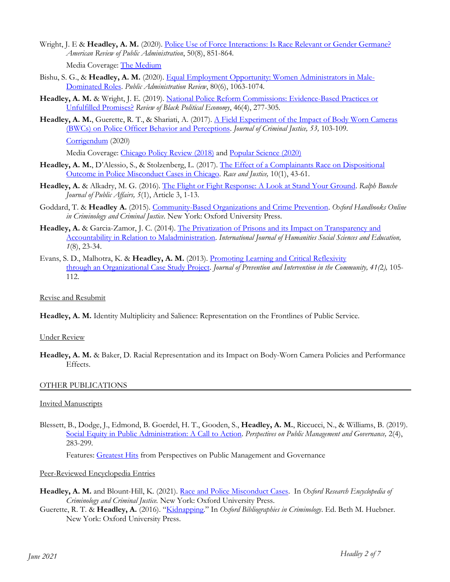Wright, J. E & Headley, A. M. (2020). [Police Use of Force Interactions: Is Race Relevant or Gender Germane?](https://journals.sagepub.com/doi/10.1177/0275074020919908) *American Review of Public Administration*, 50(8), 851-864*.*

Media Coverage: [The Medium](https://medium.com/3streams/on-july-17-2014-eric-garner-a-44-year-old-and-unarmed-black-man-told-new-york-city-police-e5fe01098a6e)

- Bishu, S. G., & **Headley, A. M.** (2020). [Equal Employment Opportunity: Women Administrators in Male-](https://doi.org/10.1111/puar.13178)[Dominated Roles.](https://doi.org/10.1111/puar.13178) *Public Administration Review*, 80(6), 1063-1074*.*
- **Headley, A. M.** & Wright, J. E. (2019). [National Police Reform Commissions: Evidence-Based Practices or](https://doi.org/10.1177/0034644619873074)  [Unfulfilled Promises?](https://doi.org/10.1177/0034644619873074) *Review of Black Political Economy*, 46(4), 277-305*.*
- **Headley, A. M.**, Guerette, R. T., & Shariati, A. (2017). [A Field Experiment of the Impact of Body Worn Cameras](https://doi.org/10.1016/j.jcrimjus.2017.10.003)  [\(BWCs\) on Police Officer Behavior and Perceptions.](https://doi.org/10.1016/j.jcrimjus.2017.10.003) *Journal of Criminal Justice, 53,* 103-109*.*  [Corrigendum](https://doi.org/10.1016/j.jcrimjus.2020.101690) (2020)

Media Coverage: [Chicago Policy Review](http://chicagopolicyreview.org/2018/12/03/how-body-cameras-may-result-in-a-more-proactive-and-community-engaged-police-force/) (2018) and [Popular Science \(2020\)](https://www.popsci.com/story/technology/police-body-cameras/)

- **Headley, A. M.**, D'Alessio, S., & Stolzenberg, L. (2017)*.* [The Effect of a Complainants Race on Dispositional](https://doi.org/10.1177/2153368717726829)  [Outcome in Police Misconduct Cases in Chicago.](https://doi.org/10.1177/2153368717726829) *Race and Justice,* 10(1), 43-61.
- **Headley, A.** & Alkadry, M. G. (2016)*.* [The Flight or Fight Response: A Look at Stand Your Ground.](https://digitalscholarship.tsu.edu/cgi/viewcontent.cgi?referer=https://scholar.google.com/scholar?hl=en&as_sdt=0%2C5&q=The+Flight+or+Fight+Response%3A+A+Look+at+Stand+Your+Ground&btnG=&httpsredir=1&article=1035&context=rbjpa) *Ralph Bunche Journal of Public Affairs, 5*(1), Article 3, 1-13.
- Goddard, T. & **Headley A.** (2015). [Community-Based Organizations and Crime Prevention.](https://www.oxfordhandbooks.com/view/10.1093/oxfordhb/9780199935383.001.0001/oxfordhb-9780199935383-e-81) *Oxford Handbooks Online in Criminology and Criminal Justice*. New York: Oxford University Press.
- **Headley, A.** & Garcia-Zamor, J. C. (2014). [The Privatization of Prisons and its Impact on Transparency and](http://citeseerx.ist.psu.edu/viewdoc/download?doi=10.1.1.685.6693&rep=rep1&type=pdf)  [Accountability in Relation to Maladministration.](http://citeseerx.ist.psu.edu/viewdoc/download?doi=10.1.1.685.6693&rep=rep1&type=pdf) *International Journal of Humanities Social Sciences and Education, 1*(8), 23-34.
- Evans, S. D., Malhotra, K. & **Headley, A. M.** (2013)[. Promoting Learning and Critical Reflexivity](https://doi.org/10.1080/10852352.2013.757986)  through an [Organizational Case Study Project.](https://doi.org/10.1080/10852352.2013.757986) *Journal of Prevention and Intervention in the Community, 41(*2*),* 105- 112.

# Revise and Resubmit

**Headley, A. M.** Identity Multiplicity and Salience: Representation on the Frontlines of Public Service.

## Under Review

**Headley, A. M.** & Baker, D. Racial Representation and its Impact on Body-Worn Camera Policies and Performance Effects.

## OTHER PUBLICATIONS

## Invited Manuscripts

Blessett, B., Dodge, J., Edmond, B. Goerdel, H. T., Gooden, S., **Headley, A. M.**, Riccucci, N., & Williams, B. (2019). [Social Equity in Public Administration: A Call to Action.](https://doi.org/10.1093/ppmgov/gvz016) *Perspectives on Public Management and Governance*, 2(4), 283-299*.*

Features: **Greatest Hits** from Perspectives on Public Management and Governance

## Peer-Reviewed Encyclopedia Entries

- **Headley, A. M.** and Blount-Hill, K. (2021). [Race and Police Misconduct Cases.](https://oxfordre.com/criminology/view/10.1093/acrefore/9780190264079.001.0001/acrefore-9780190264079-e-703) In *Oxford Research Encyclopedia of Criminology and Criminal Justice.* New York: Oxford University Press.
- Guerette, R. T. & **Headley, A.** (2016). "[Kidnapping](http://www.oxfordbibliographies.com/view/document/obo-9780195396607/obo-9780195396607-0195.xml)." In *Oxford Bibliographies in Criminology*. Ed. Beth M. Huebner. New York: Oxford University Press.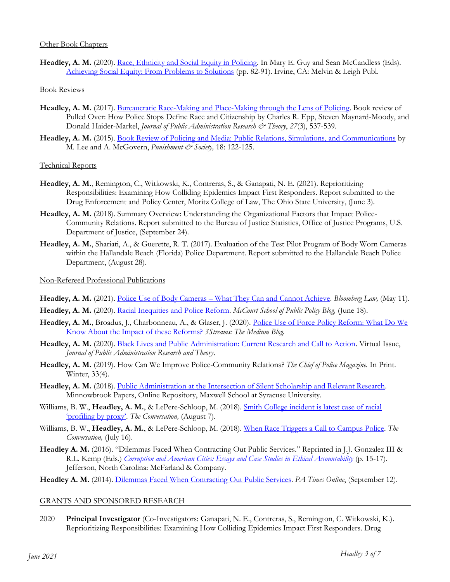## Other Book Chapters

Headley, A. M. (2020). [Race, Ethnicity and Social Equity in Policing.](https://www.academia.edu/43832858/Race_Ethnicity_and_Social_Equity_in_Policing) In Mary E. Guy and Sean McCandless (Eds). [Achieving Social Equity: From Problems to Solutions](https://www.amazon.com/Achieving-Social-Equity-Problems-Solutions/dp/1733934464) (pp. 82-91). Irvine, CA: Melvin & Leigh Publ.

### Book Reviews

- **Headley, A. M.** (2017). [Bureaucratic Race-Making and Place-Making through the Lens of Policing.](https://doi.org/10.1093/jopart/mux004) Book review of Pulled Over: How Police Stops Define Race and Citizenship by Charles R. Epp, Steven Maynard-Moody, and Donald Haider-Markel, *Journal of Public Administration Research & Theory*, *27*(3), 537-539.
- **Headley, A. M.** (2015). [Book Review of Policing and Media: Public Relations, Simulations, and Communications](https://doi.org/10.1177/1462474515602078) by M. Lee and A. McGovern, *Punishment & Society*, 18: 122-125.

### Technical Reports

- **Headley, A. M.**, Remington, C., Witkowski, K., Contreras, S., & Ganapati, N. E. (2021). Reprioritizing Responsibilities: Examining How Colliding Epidemics Impact First Responders. Report submitted to the Drug Enforcement and Policy Center, Moritz College of Law, The Ohio State University, (June 3).
- **Headley, A. M.** (2018). Summary Overview: Understanding the Organizational Factors that Impact Police-Community Relations. Report submitted to the Bureau of Justice Statistics, Office of Justice Programs, U.S. Department of Justice, (September 24).
- **Headley, A. M.**, Shariati, A., & Guerette, R. T. (2017). Evaluation of the Test Pilot Program of Body Worn Cameras within the Hallandale Beach (Florida) Police Department. Report submitted to the Hallandale Beach Police Department, (August 28).

### Non-Refereed Professional Publications

- **Headley, A. M.** (2021). Police Use of Body Cameras [What They Can and Cannot Achieve.](https://news.bloomberglaw.com/banking-law/police-use-of-body-cameras-what-they-can-and-cannot-achieve) *Bloomberg Law,* (May 11).
- **Headley, A. M.** (2020). [Racial Inequities and Police Reform.](https://mccourt.georgetown.edu/news/racial-inequities-and-police-reform/) *McCourt School of Public Policy Blog,* (June 18).
- **Headley, A. M.**, Broadus, J., Charbonneau, A., & Glaser, J. (2020). [Police Use of Force Policy Reform: What Do We](https://medium.com/3streams/what-do-we-know-about-the-impact-of-police-use-of-force-policies-a042f068125a)  [Know About the Impact of these Reforms?](https://medium.com/3streams/what-do-we-know-about-the-impact-of-police-use-of-force-policies-a042f068125a) *3Streams: The Medium Blog.*
- Headley, A. M. (2020). [Black Lives and Public Administration: Current Research and Call to Action.](https://academic.oup.com/jpart/pages/black-lives-vi) Virtual Issue, *Journal of Public Administration Research and Theory*.
- **Headley, A. M.** (2019). How Can We Improve Police-Community Relations? *The Chief of Police Magazine.* In Print. Winter, 33(4).
- **Headley, A. M.** (2018). [Public Administration at the Intersection of Silent Scholarship and Relevant Research.](https://www.maxwell.syr.edu/uploadedFiles/conferences/minnowbrook/papers/andrea-headley-public-administration-at-intersection-of-silent-scholarship-and-relevant-research.pdf) Minnowbrook Papers, Online Repository, Maxwell School at Syracuse University.
- Williams, B. W., **Headley, A. M.**, & LePere-Schloop, M. (2018). [Smith College incident is latest case of racial](https://theconversation.com/smith-college-incident-is-latest-case-of-racial-profiling-by-proxy-101156)  ['profiling by proxy'](https://theconversation.com/smith-college-incident-is-latest-case-of-racial-profiling-by-proxy-101156). *The Conversation,* (August 7).
- Williams, B. W., **Headley, A. M.**, & LePere-Schloop, M. (2018). [When Race Triggers a Call to Campus Police.](https://theconversation.com/when-race-triggers-a-call-to-campus-police-97507) *The Conversation,* (July 16).
- **Headley A. M.** (2016). "Dilemmas Faced When Contracting Out Public Services." Reprinted in J.J. Gonzalez III & R.L. Kemp (Eds.) *[Corruption and American Cities: Essays and Case Studies in Ethical Accountability](https://books.google.com/books?id=im_7DAAAQBAJ&pg=PR4&lpg=PR4&dq=.)+Corruption+and+American+Cities:+Essays+and+Case+Studies+in+Ethical+Accountability&source=bl&ots=kRJCC5nAR9&sig=BeuljwQ3FywA4LXu7dBNs8sw39w&hl=en&sa=X&ved=2ahUKEwjampPuqaXdAhUCnKwKHUW8DuoQ6AEwCHoECAkQAQ)* (p. 15-17). Jefferson, North Carolina: McFarland & Company.
- **Headley A. M.** (2014)[. Dilemmas Faced When Contracting Out Public Services.](https://patimes.org/dilemmas-faced-contracting-public-services/) *PA Times Online*, (September 12).

#### GRANTS AND SPONSORED RESEARCH

2020 **Principal Investigator** (Co-Investigators: Ganapati, N. E., Contreras, S., Remington, C. Witkowski, K.). Reprioritizing Responsibilities: Examining How Colliding Epidemics Impact First Responders. Drug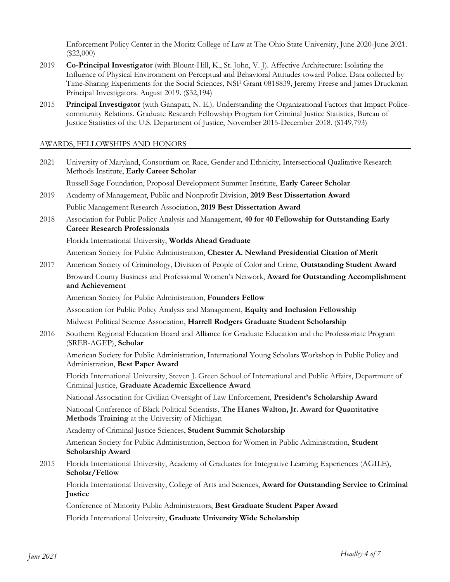Enforcement Policy Center in the Moritz College of Law at The Ohio State University, June 2020-June 2021. (\$22,000)

- 2019 **Co-Principal Investigator** (with Blount-Hill, K., St. John, V. J). Affective Architecture: Isolating the Influence of Physical Environment on Perceptual and Behavioral Attitudes toward Police. Data collected by Time-Sharing Experiments for the Social Sciences, NSF Grant 0818839, Jeremy Freese and James Druckman Principal Investigators. August 2019. (\$32,194)
- 2015 **Principal Investigator** (with Ganapati, N. E.). Understanding the Organizational Factors that Impact Policecommunity Relations. Graduate Research Fellowship Program for Criminal Justice Statistics, Bureau of Justice Statistics of the U.S. Department of Justice, November 2015-December 2018. (\$149,793)

## AWARDS, FELLOWSHIPS AND HONORS

| 2021 | University of Maryland, Consortium on Race, Gender and Ethnicity, Intersectional Qualitative Research<br>Methods Institute, Early Career Scholar                    |
|------|---------------------------------------------------------------------------------------------------------------------------------------------------------------------|
|      | Russell Sage Foundation, Proposal Development Summer Institute, Early Career Scholar                                                                                |
| 2019 | Academy of Management, Public and Nonprofit Division, 2019 Best Dissertation Award                                                                                  |
|      | Public Management Research Association, 2019 Best Dissertation Award                                                                                                |
| 2018 | Association for Public Policy Analysis and Management, 40 for 40 Fellowship for Outstanding Early<br><b>Career Research Professionals</b>                           |
|      | Florida International University, Worlds Ahead Graduate                                                                                                             |
|      | American Society for Public Administration, Chester A. Newland Presidential Citation of Merit                                                                       |
| 2017 | American Society of Criminology, Division of People of Color and Crime, Outstanding Student Award                                                                   |
|      | Broward County Business and Professional Women's Network, Award for Outstanding Accomplishment<br>and Achievement                                                   |
|      | American Society for Public Administration, Founders Fellow                                                                                                         |
|      | Association for Public Policy Analysis and Management, Equity and Inclusion Fellowship                                                                              |
|      | Midwest Political Science Association, Harrell Rodgers Graduate Student Scholarship                                                                                 |
| 2016 | Southern Regional Education Board and Alliance for Graduate Education and the Professoriate Program<br>(SREB-AGEP), Scholar                                         |
|      | American Society for Public Administration, International Young Scholars Workshop in Public Policy and<br>Administration, Best Paper Award                          |
|      | Florida International University, Steven J. Green School of International and Public Affairs, Department of<br>Criminal Justice, Graduate Academic Excellence Award |
|      | National Association for Civilian Oversight of Law Enforcement, President's Scholarship Award                                                                       |
|      | National Conference of Black Political Scientists, The Hanes Walton, Jr. Award for Quantitative<br>Methods Training at the University of Michigan                   |
|      | Academy of Criminal Justice Sciences, Student Summit Scholarship                                                                                                    |
|      | American Society for Public Administration, Section for Women in Public Administration, Student<br>Scholarship Award                                                |
| 2015 | Florida International University, Academy of Graduates for Integrative Learning Experiences (AGILE),<br>Scholar/Fellow                                              |
|      | Florida International University, College of Arts and Sciences, Award for Outstanding Service to Criminal<br>Justice                                                |
|      | Conference of Minority Public Administrators, Best Graduate Student Paper Award                                                                                     |
|      | Florida International University, Graduate University Wide Scholarship                                                                                              |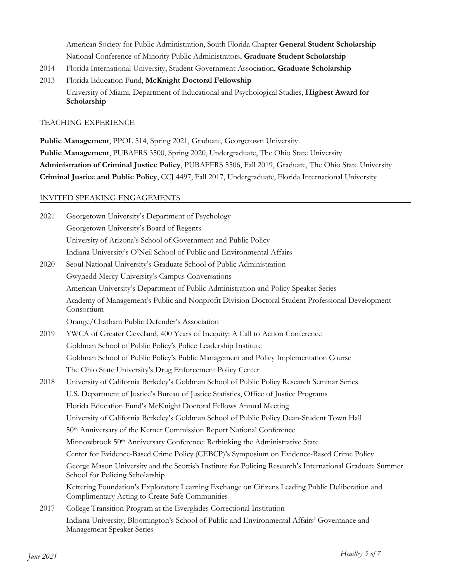American Society for Public Administration, South Florida Chapter **General Student Scholarship** National Conference of Minority Public Administrators, **Graduate Student Scholarship**

- 2014 Florida International University, Student Government Association, **Graduate Scholarship**
- 2013 Florida Education Fund, **McKnight Doctoral Fellowship** University of Miami, Department of Educational and Psychological Studies, **Highest Award for Scholarship**

### TEACHING EXPERIENCE

**Public Management**, PPOL 514, Spring 2021, Graduate, Georgetown University **Public Management**, PUBAFRS 3500, Spring 2020, Undergraduate, The Ohio State University **Administration of Criminal Justice Policy**, PUBAFFRS 5506, Fall 2019, Graduate, The Ohio State University **Criminal Justice and Public Policy**, CCJ 4497, Fall 2017, Undergraduate, Florida International University

### INVITED SPEAKING ENGAGEMENTS

| 2021 | Georgetown University's Department of Psychology                                                                                                    |
|------|-----------------------------------------------------------------------------------------------------------------------------------------------------|
|      | Georgetown University's Board of Regents                                                                                                            |
|      | University of Arizona's School of Government and Public Policy                                                                                      |
|      | Indiana University's O'Neil School of Public and Environmental Affairs                                                                              |
| 2020 | Seoul National University's Graduate School of Public Administration                                                                                |
|      | Gwynedd Mercy University's Campus Conversations                                                                                                     |
|      | American University's Department of Public Administration and Policy Speaker Series                                                                 |
|      | Academy of Management's Public and Nonprofit Division Doctoral Student Professional Development<br>Consortium                                       |
|      | Orange/Chatham Public Defender's Association                                                                                                        |
| 2019 | YWCA of Greater Cleveland, 400 Years of Inequity: A Call to Action Conference                                                                       |
|      | Goldman School of Public Policy's Police Leadership Institute                                                                                       |
|      | Goldman School of Public Policy's Public Management and Policy Implementation Course                                                                |
|      | The Ohio State University's Drug Enforcement Policy Center                                                                                          |
| 2018 | University of California Berkeley's Goldman School of Public Policy Research Seminar Series                                                         |
|      | U.S. Department of Justice's Bureau of Justice Statistics, Office of Justice Programs                                                               |
|      | Florida Education Fund's McKnight Doctoral Fellows Annual Meeting                                                                                   |
|      | University of California Berkeley's Goldman School of Public Policy Dean-Student Town Hall                                                          |
|      | 50th Anniversary of the Kerner Commission Report National Conference                                                                                |
|      | Minnowbrook 50th Anniversary Conference: Rethinking the Administrative State                                                                        |
|      | Center for Evidence-Based Crime Policy (CEBCP)'s Symposium on Evidence-Based Crime Policy                                                           |
|      | George Mason University and the Scottish Institute for Policing Research's International Graduate Summer<br>School for Policing Scholarship         |
|      | Kettering Foundation's Exploratory Learning Exchange on Citizens Leading Public Deliberation and<br>Complimentary Acting to Create Safe Communities |
| 2017 | College Transition Program at the Everglades Correctional Institution                                                                               |
|      | Indiana University, Bloomington's School of Public and Environmental Affairs' Governance and<br>Management Speaker Series                           |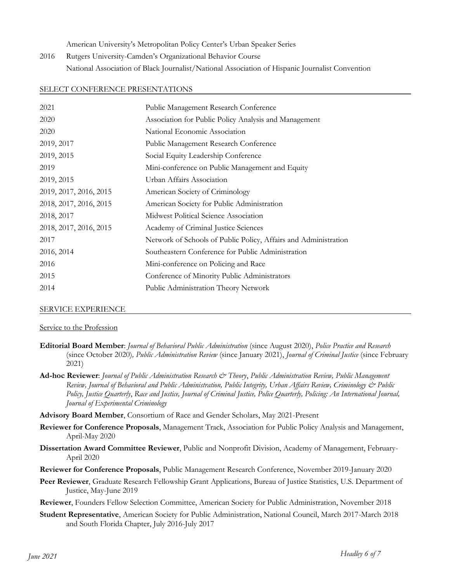American University's Metropolitan Policy Center's Urban Speaker Series

2016 Rutgers University-Camden's Organizational Behavior Course National Association of Black Journalist/National Association of Hispanic Journalist Convention

### SELECT CONFERENCE PRESENTATIONS

| 2021                   | Public Management Research Conference                           |
|------------------------|-----------------------------------------------------------------|
| 2020                   | Association for Public Policy Analysis and Management           |
| 2020                   | National Economic Association                                   |
| 2019, 2017             | Public Management Research Conference                           |
| 2019, 2015             | Social Equity Leadership Conference                             |
| 2019                   | Mini-conference on Public Management and Equity                 |
| 2019, 2015             | Urban Affairs Association                                       |
| 2019, 2017, 2016, 2015 | American Society of Criminology                                 |
| 2018, 2017, 2016, 2015 | American Society for Public Administration                      |
| 2018, 2017             | Midwest Political Science Association                           |
| 2018, 2017, 2016, 2015 | Academy of Criminal Justice Sciences                            |
| 2017                   | Network of Schools of Public Policy, Affairs and Administration |
| 2016, 2014             | Southeastern Conference for Public Administration               |
| 2016                   | Mini-conference on Policing and Race                            |
| 2015                   | Conference of Minority Public Administrators                    |
| 2014                   | Public Administration Theory Network                            |

#### SERVICE EXPERIENCE

#### Service to the Profession

- **Editorial Board Member**: *Journal of Behavioral Public Administration* (since August 2020), *Police Practice and Research* (since October 2020)*, Public Administration Review* (since January 2021), *Journal of Criminal Justice* (since February 2021)
- **Ad-hoc Reviewer**: *Journal of Public Administration Research & Theory*, *Public Administration Review, Public Management Review, Journal of Behavioral and Public Administration, Public Integrity, Urban Affairs Review, Criminology & Public Policy, Justice Quarterly*, *Race and Justice, Journal of Criminal Justice, Police Quarterly, Policing: An International Journal, Journal of Experimental Criminology*

**Advisory Board Member**, Consortium of Race and Gender Scholars, May 2021-Present

- **Reviewer for Conference Proposals**, Management Track, Association for Public Policy Analysis and Management, April-May 2020
- **Dissertation Award Committee Reviewer**, Public and Nonprofit Division, Academy of Management, February-April 2020
- **Reviewer for Conference Proposals**, Public Management Research Conference, November 2019-January 2020
- **Peer Reviewer**, Graduate Research Fellowship Grant Applications, Bureau of Justice Statistics, U.S. Department of Justice, May-June 2019
- **Reviewer**, Founders Fellow Selection Committee, American Society for Public Administration, November 2018
- **Student Representative**, American Society for Public Administration, National Council, March 2017-March 2018 and South Florida Chapter, July 2016-July 2017